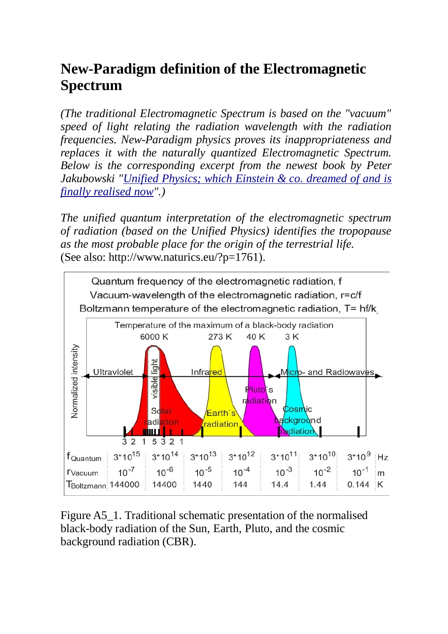## **New-Paradigm definition of the Electromagnetic Spectrum**

*(The traditional Electromagnetic Spectrum is based on the "vacuum" speed of light relating the radiation wavelength with the radiation frequencies. New-Paradigm physics proves its inappropriateness and replaces it with the naturally quantized Electromagnetic Spectrum. Below is the corresponding excerpt from the newest book by Peter Jakubowski ["Unified Physics; which Einstein & co. dreamed of and is](http://www.bod.de/buchshop/unified-physics-peter-jakubowski-9783744801881?utm_source=saleswidget&utm_medium=referral&utm_campaign=saleswidget_large) [finally realised now"](http://www.bod.de/buchshop/unified-physics-peter-jakubowski-9783744801881?utm_source=saleswidget&utm_medium=referral&utm_campaign=saleswidget_large).)*

*The unified quantum interpretation of the electromagnetic spectrum of radiation (based on the Unified Physics) identifies the tropopause as the most probable place for the origin of the terrestrial life.* (See also: http://www.naturics.eu/?p=1761).



Figure A5\_1. Traditional schematic presentation of the normalised black-body radiation of the Sun, Earth, Pluto, and the cosmic background radiation (CBR).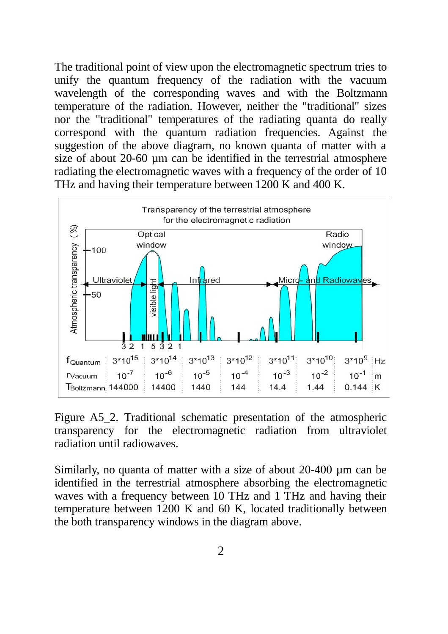The traditional point of view upon the electromagnetic spectrum tries to unify the quantum frequency of the radiation with the vacuum wavelength of the corresponding waves and with the Boltzmann temperature of the radiation. However, neither the "traditional" sizes nor the "traditional" temperatures of the radiating quanta do really correspond with the quantum radiation frequencies. Against the suggestion of the above diagram, no known quanta of matter with a size of about 20-60 µm can be identified in the terrestrial atmosphere radiating the electromagnetic waves with a frequency of the order of 10 THz and having their temperature between 1200 K and 400 K.



Figure A5 2. Traditional schematic presentation of the atmospheric transparency for the electromagnetic radiation from ultraviolet radiation until radiowaves.

Similarly, no quanta of matter with a size of about 20-400 µm can be identified in the terrestrial atmosphere absorbing the electromagnetic waves with a frequency between 10 THz and 1 THz and having their temperature between 1200 K and 60 K, located traditionally between the both transparency windows in the diagram above.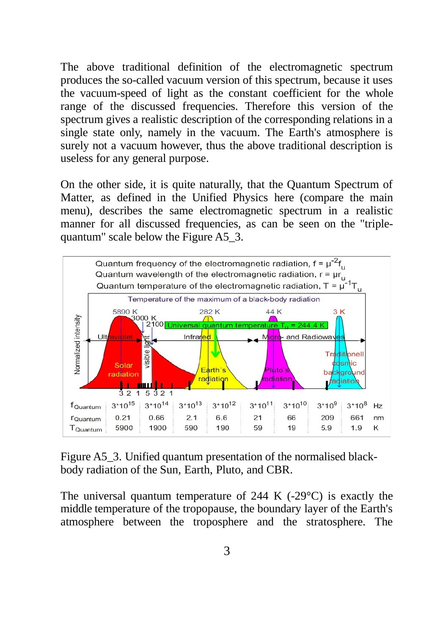The above traditional definition of the electromagnetic spectrum produces the so-called vacuum version of this spectrum, because it uses the vacuum-speed of light as the constant coefficient for the whole range of the discussed frequencies. Therefore this version of the spectrum gives a realistic description of the corresponding relations in a single state only, namely in the vacuum. The Earth's atmosphere is surely not a vacuum however, thus the above traditional description is useless for any general purpose.

On the other side, it is quite naturally, that the Quantum Spectrum of Matter, as defined in the Unified Physics here (compare the main menu), describes the same electromagnetic spectrum in a realistic manner for all discussed frequencies, as can be seen on the "triplequantum" scale below the Figure A5\_3.



Figure A5 3. Unified quantum presentation of the normalised blackbody radiation of the Sun, Earth, Pluto, and CBR.

The universal quantum temperature of 244 K  $(-29^{\circ}C)$  is exactly the middle temperature of the tropopause, the boundary layer of the Earth's atmosphere between the troposphere and the stratosphere. The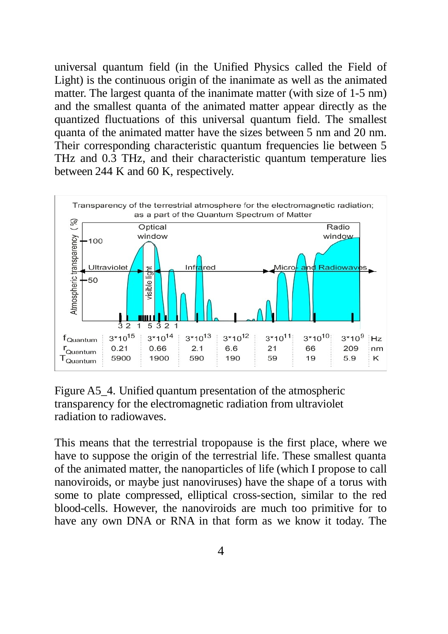universal quantum field (in the Unified Physics called the Field of Light) is the continuous origin of the inanimate as well as the animated matter. The largest quanta of the inanimate matter (with size of 1-5 nm) and the smallest quanta of the animated matter appear directly as the quantized fluctuations of this universal quantum field. The smallest quanta of the animated matter have the sizes between 5 nm and 20 nm. Their corresponding characteristic quantum frequencies lie between 5 THz and 0.3 THz, and their characteristic quantum temperature lies between 244 K and 60 K, respectively.



Figure A5–4. Unified quantum presentation of the atmospheric transparency for the electromagnetic radiation from ultraviolet radiation to radiowaves.

This means that the terrestrial tropopause is the first place, where we have to suppose the origin of the terrestrial life. These smallest quanta of the animated matter, the nanoparticles of life (which I propose to call nanoviroids, or maybe just nanoviruses) have the shape of a torus with some to plate compressed, elliptical cross-section, similar to the red blood-cells. However, the nanoviroids are much too primitive for to have any own DNA or RNA in that form as we know it today. The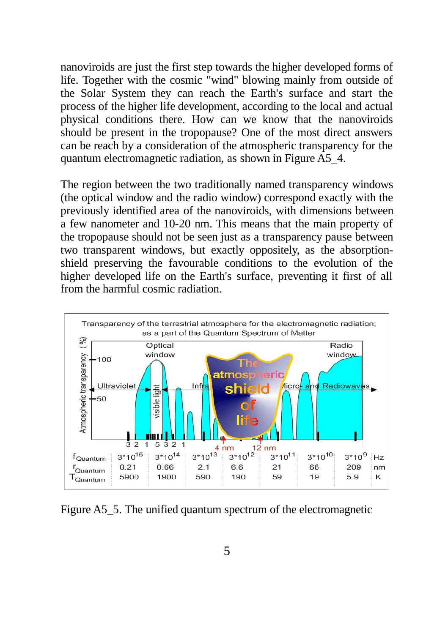nanoviroids are just the first step towards the higher developed forms of life. Together with the cosmic "wind" blowing mainly from outside of the Solar System they can reach the Earth's surface and start the process of the higher life development, according to the local and actual physical conditions there. How can we know that the nanoviroids should be present in the tropopause? One of the most direct answers can be reach by a consideration of the atmospheric transparency for the quantum electromagnetic radiation, as shown in Figure A5\_4.

The region between the two traditionally named transparency windows (the optical window and the radio window) correspond exactly with the previously identified area of the nanoviroids, with dimensions between a few nanometer and 10-20 nm. This means that the main property of the tropopause should not be seen just as a transparency pause between two transparent windows, but exactly oppositely, as the absorptionshield preserving the favourable conditions to the evolution of the higher developed life on the Earth's surface, preventing it first of all from the harmful cosmic radiation.



Figure A5\_5. The unified quantum spectrum of the electromagnetic